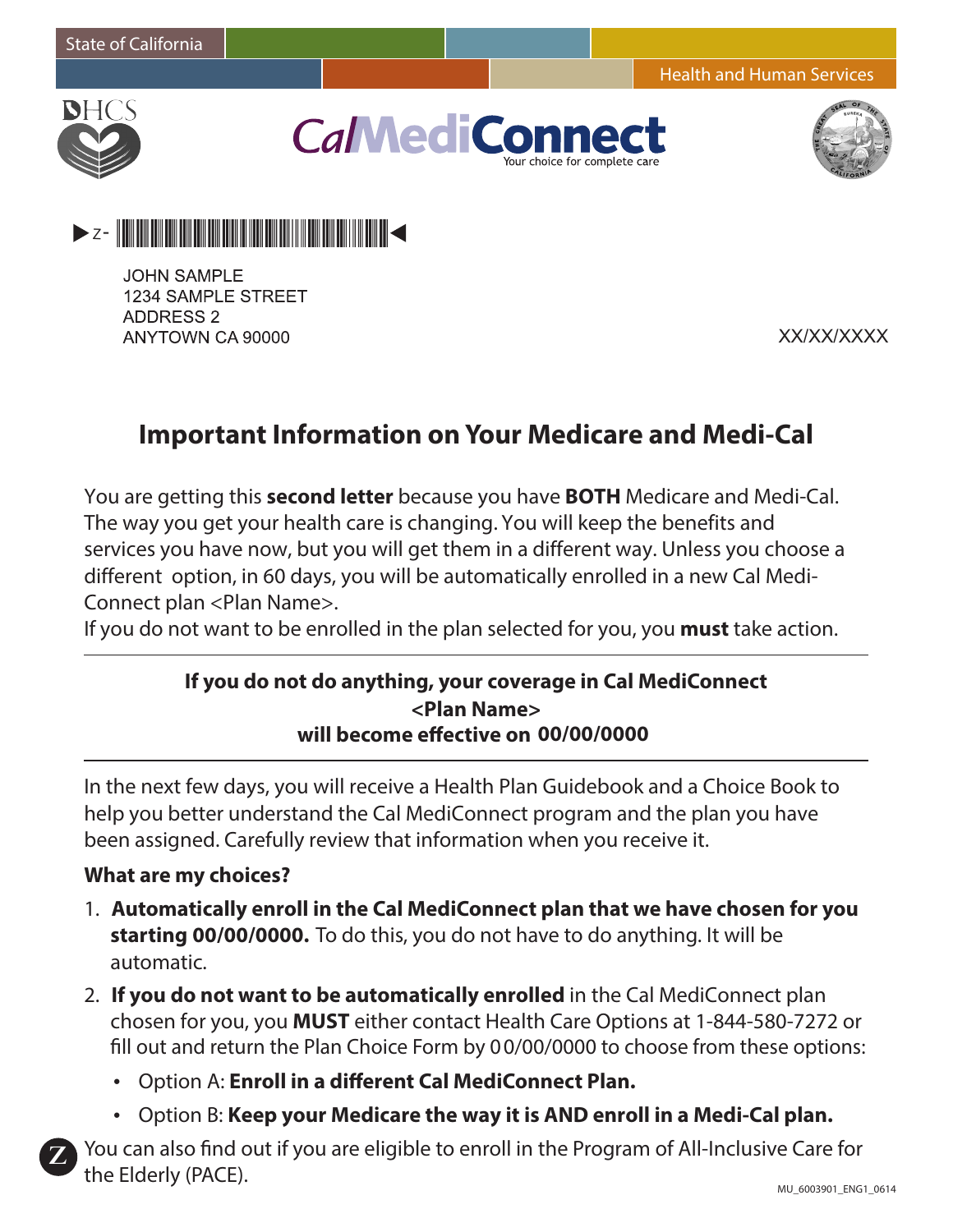Health and Human Services



**CalMediCor** r choice for complete ca





**JOHN SAMPLE** 1234 SAMPLE STREET **ADDRESS 2** ANYTOWN CA 90000

XX/XX/XXXX

# **Important Information on Your Medicare and Medi-Cal**

You are getting this **second letter** because you have **BOTH** Medicare and Medi-Cal. The way you get your health care is changing. You will keep the benefits and services you have now, but you will get them in a different way. Unless you choose a different option, in 60 days, you will be automatically enrolled in a new Cal Medi-Connect plan <Plan Name>.

If you do not want to be enrolled in the plan selected for you, you **must** take action.

# **If you do not do anything, your coverage in Cal MediConnect will become effective on 00/00/0000 <Plan Name>**

In the next few days, you will receive a Health Plan Guidebook and a Choice Book to help you better understand the Cal MediConnect program and the plan you have been assigned. Carefully review that information when you receive it.

#### **What are my choices?**

**Z**

- 1. **Automatically enroll in the Cal MediConnect plan that we have chosen for you starting 00/00/0000.** To do this, you do not have to do anything. It will be automatic.
- 2. **If you do not want to be automatically enrolled** in the Cal MediConnect plan chosen for you, you **MUST** either contact Health Care Options at 1-844-580-7272 or fill out and return the Plan Choice Form by 0 0/00/0000 to choose from these options:
	- Option A: **Enroll in a different Cal MediConnect Plan.**
	- Option B: **Keep your Medicare the way it is AND enroll in a Medi-Cal plan.**

You can also find out if you are eligible to enroll in the Program of All-Inclusive Care for the Elderly (PACE).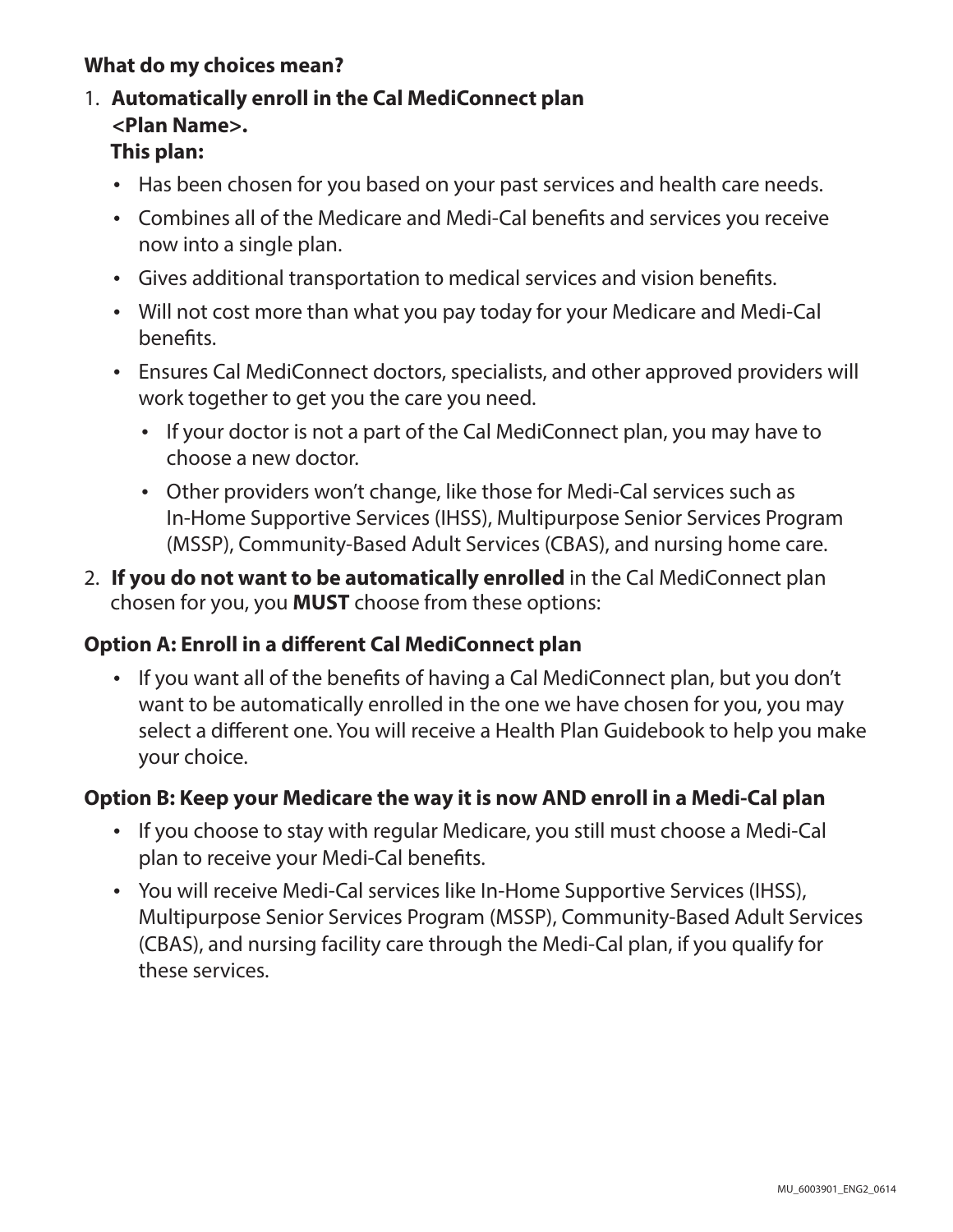# **What do my choices mean?**

## 1. **Automatically enroll in the Cal MediConnect plan This plan: <Plan Name>.**

- Has been chosen for you based on your past services and health care needs.
- Combines all of the Medicare and Medi-Cal benefits and services you receive now into a single plan.
- Gives additional transportation to medical services and vision benefits.
- Will not cost more than what you pay today for your Medicare and Medi-Cal benefits.
- Ensures Cal MediConnect doctors, specialists, and other approved providers will work together to get you the care you need.
	- If your doctor is not a part of the Cal MediConnect plan, you may have to choose a new doctor.
	- Other providers won't change, like those for Medi-Cal services such as In-Home Supportive Services (IHSS), Multipurpose Senior Services Program (MSSP), Community-Based Adult Services (CBAS), and nursing home care.
- 2. **If you do not want to be automatically enrolled** in the Cal MediConnect plan chosen for you, you **MUST** choose from these options:

## **Option A: Enroll in a different Cal MediConnect plan**

• If you want all of the benefits of having a Cal MediConnect plan, but you don't want to be automatically enrolled in the one we have chosen for you, you may select a different one. You will receive a Health Plan Guidebook to help you make your choice.

#### **Option B: Keep your Medicare the way it is now AND enroll in a Medi-Cal plan**

- If you choose to stay with regular Medicare, you still must choose a Medi-Cal plan to receive your Medi-Cal benefits.
- You will receive Medi-Cal services like In-Home Supportive Services (IHSS), Multipurpose Senior Services Program (MSSP), Community-Based Adult Services (CBAS), and nursing facility care through the Medi-Cal plan, if you qualify for these services.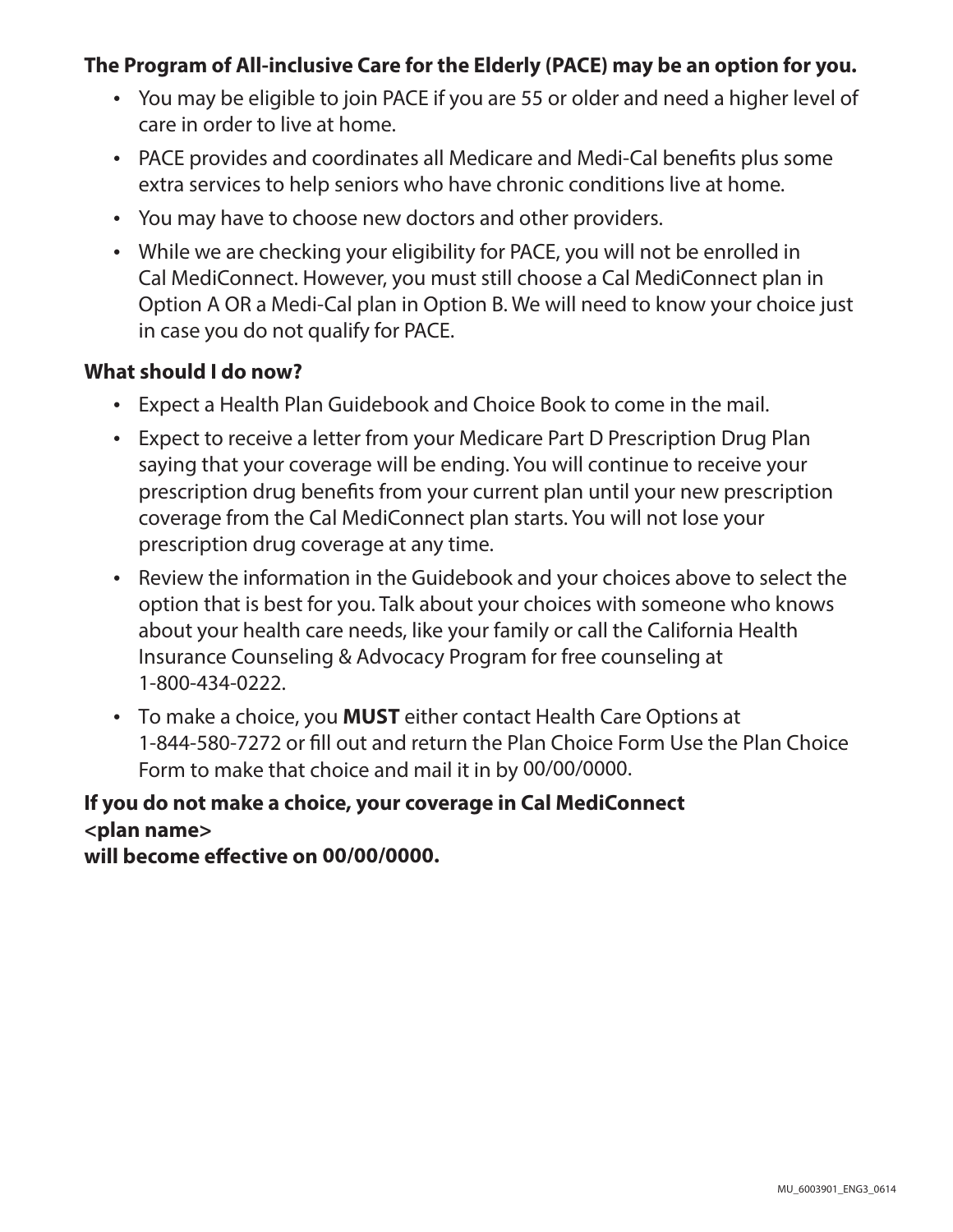### **The Program of All-inclusive Care for the Elderly (PACE) may be an option for you.**

- You may be eligible to join PACE if you are 55 or older and need a higher level of care in order to live at home.
- PACE provides and coordinates all Medicare and Medi-Cal benefits plus some extra services to help seniors who have chronic conditions live at home.
- You may have to choose new doctors and other providers.
- While we are checking your eligibility for PACE, you will not be enrolled in Cal MediConnect. However, you must still choose a Cal MediConnect plan in Option A OR a Medi-Cal plan in Option B. We will need to know your choice just in case you do not qualify for PACE.

#### **What should I do now?**

- Expect a Health Plan Guidebook and Choice Book to come in the mail.
- Expect to receive a letter from your Medicare Part D Prescription Drug Plan saying that your coverage will be ending. You will continue to receive your prescription drug benefits from your current plan until your new prescription coverage from the Cal MediConnect plan starts. You will not lose your prescription drug coverage at any time.
- Review the information in the Guidebook and your choices above to select the option that is best for you. Talk about your choices with someone who knows about your health care needs, like your family or call the California Health Insurance Counseling & Advocacy Program for free counseling at 1-800-434-0222.
- To make a choice, you **MUST** either contact Health Care Options at 1-844-580-7272 or fill out and return the Plan Choice Form Use the Plan Choice Form to make that choice and mail it in by 00/00/0000.

# **If you do not make a choice, your coverage in Cal MediConnect <plan name>**

**will become effective on 00/00/0000.**